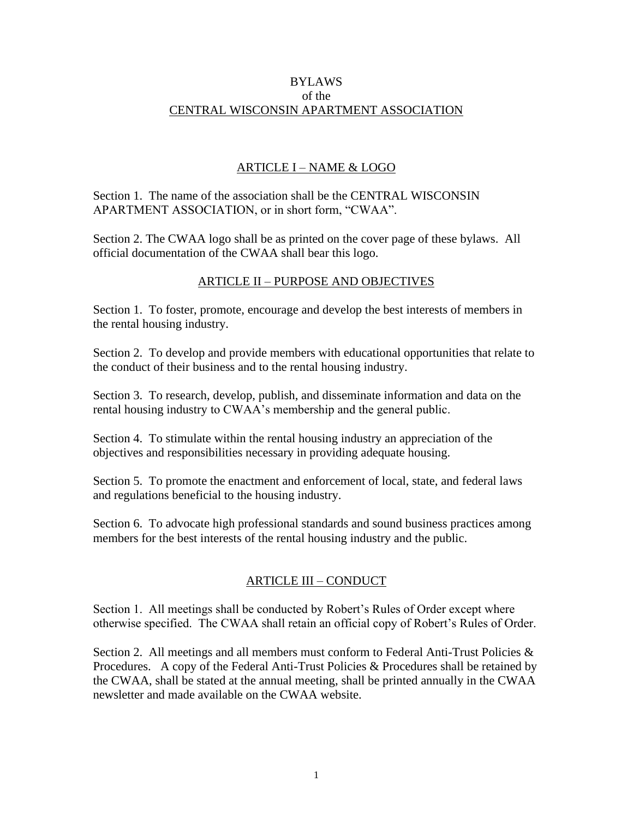#### BYLAWS of the CENTRAL WISCONSIN APARTMENT ASSOCIATION

## ARTICLE I – NAME & LOGO

Section 1. The name of the association shall be the CENTRAL WISCONSIN APARTMENT ASSOCIATION, or in short form, "CWAA".

Section 2. The CWAA logo shall be as printed on the cover page of these bylaws. All official documentation of the CWAA shall bear this logo.

## ARTICLE II – PURPOSE AND OBJECTIVES

Section 1. To foster, promote, encourage and develop the best interests of members in the rental housing industry.

Section 2. To develop and provide members with educational opportunities that relate to the conduct of their business and to the rental housing industry.

Section 3. To research, develop, publish, and disseminate information and data on the rental housing industry to CWAA's membership and the general public.

Section 4. To stimulate within the rental housing industry an appreciation of the objectives and responsibilities necessary in providing adequate housing.

Section 5. To promote the enactment and enforcement of local, state, and federal laws and regulations beneficial to the housing industry.

Section 6. To advocate high professional standards and sound business practices among members for the best interests of the rental housing industry and the public.

# ARTICLE III – CONDUCT

Section 1. All meetings shall be conducted by Robert's Rules of Order except where otherwise specified. The CWAA shall retain an official copy of Robert's Rules of Order.

Section 2. All meetings and all members must conform to Federal Anti-Trust Policies & Procedures. A copy of the Federal Anti-Trust Policies & Procedures shall be retained by the CWAA, shall be stated at the annual meeting, shall be printed annually in the CWAA newsletter and made available on the CWAA website.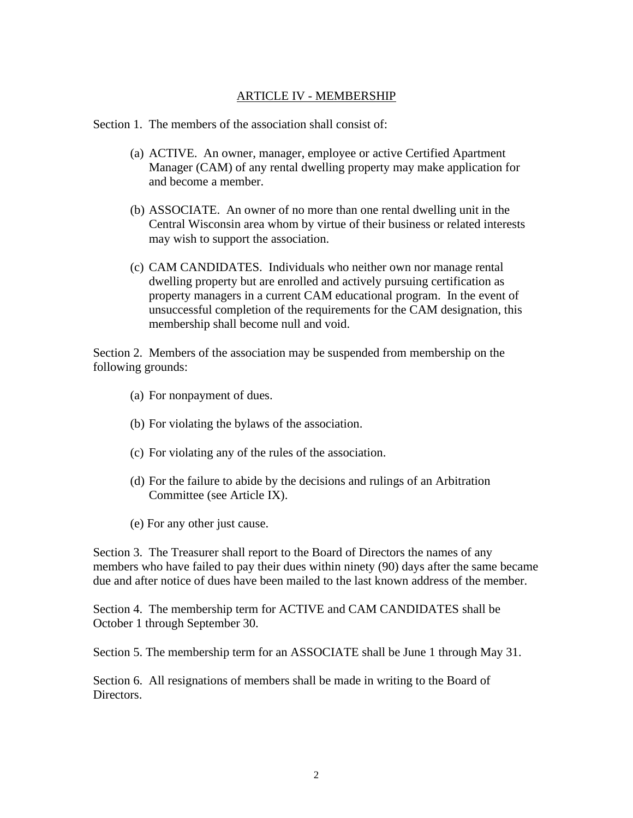### ARTICLE IV - MEMBERSHIP

Section 1. The members of the association shall consist of:

- (a) ACTIVE. An owner, manager, employee or active Certified Apartment Manager (CAM) of any rental dwelling property may make application for and become a member.
- (b) ASSOCIATE. An owner of no more than one rental dwelling unit in the Central Wisconsin area whom by virtue of their business or related interests may wish to support the association.
- (c) CAM CANDIDATES. Individuals who neither own nor manage rental dwelling property but are enrolled and actively pursuing certification as property managers in a current CAM educational program. In the event of unsuccessful completion of the requirements for the CAM designation, this membership shall become null and void.

Section 2. Members of the association may be suspended from membership on the following grounds:

- (a) For nonpayment of dues.
- (b) For violating the bylaws of the association.
- (c) For violating any of the rules of the association.
- (d) For the failure to abide by the decisions and rulings of an Arbitration Committee (see Article IX).
- (e) For any other just cause.

Section 3. The Treasurer shall report to the Board of Directors the names of any members who have failed to pay their dues within ninety (90) days after the same became due and after notice of dues have been mailed to the last known address of the member.

Section 4. The membership term for ACTIVE and CAM CANDIDATES shall be October 1 through September 30.

Section 5. The membership term for an ASSOCIATE shall be June 1 through May 31.

Section 6. All resignations of members shall be made in writing to the Board of Directors.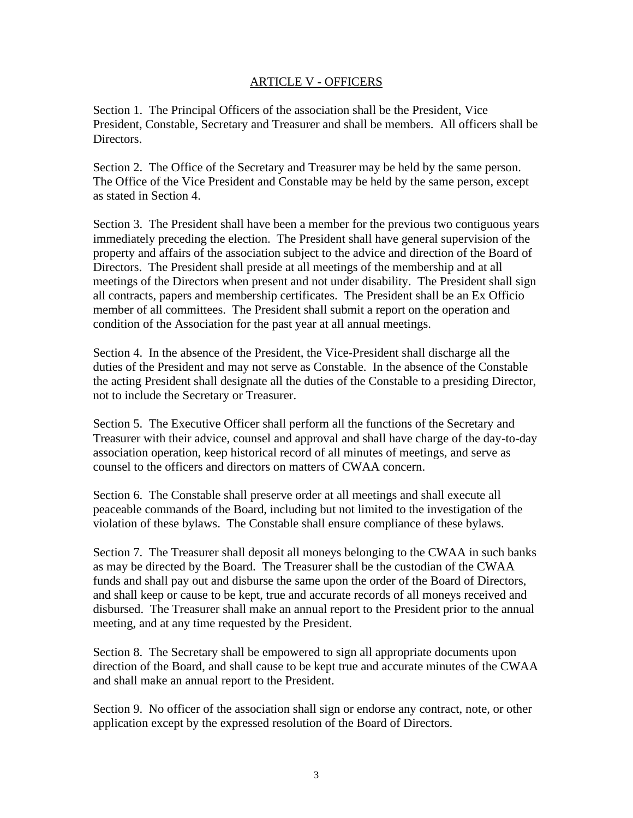#### ARTICLE V - OFFICERS

Section 1. The Principal Officers of the association shall be the President, Vice President, Constable, Secretary and Treasurer and shall be members. All officers shall be Directors.

Section 2. The Office of the Secretary and Treasurer may be held by the same person. The Office of the Vice President and Constable may be held by the same person, except as stated in Section 4.

Section 3. The President shall have been a member for the previous two contiguous years immediately preceding the election. The President shall have general supervision of the property and affairs of the association subject to the advice and direction of the Board of Directors. The President shall preside at all meetings of the membership and at all meetings of the Directors when present and not under disability. The President shall sign all contracts, papers and membership certificates. The President shall be an Ex Officio member of all committees. The President shall submit a report on the operation and condition of the Association for the past year at all annual meetings.

Section 4. In the absence of the President, the Vice-President shall discharge all the duties of the President and may not serve as Constable. In the absence of the Constable the acting President shall designate all the duties of the Constable to a presiding Director, not to include the Secretary or Treasurer.

Section 5. The Executive Officer shall perform all the functions of the Secretary and Treasurer with their advice, counsel and approval and shall have charge of the day-to-day association operation, keep historical record of all minutes of meetings, and serve as counsel to the officers and directors on matters of CWAA concern.

Section 6. The Constable shall preserve order at all meetings and shall execute all peaceable commands of the Board, including but not limited to the investigation of the violation of these bylaws. The Constable shall ensure compliance of these bylaws.

Section 7. The Treasurer shall deposit all moneys belonging to the CWAA in such banks as may be directed by the Board. The Treasurer shall be the custodian of the CWAA funds and shall pay out and disburse the same upon the order of the Board of Directors, and shall keep or cause to be kept, true and accurate records of all moneys received and disbursed. The Treasurer shall make an annual report to the President prior to the annual meeting, and at any time requested by the President.

Section 8. The Secretary shall be empowered to sign all appropriate documents upon direction of the Board, and shall cause to be kept true and accurate minutes of the CWAA and shall make an annual report to the President.

Section 9. No officer of the association shall sign or endorse any contract, note, or other application except by the expressed resolution of the Board of Directors.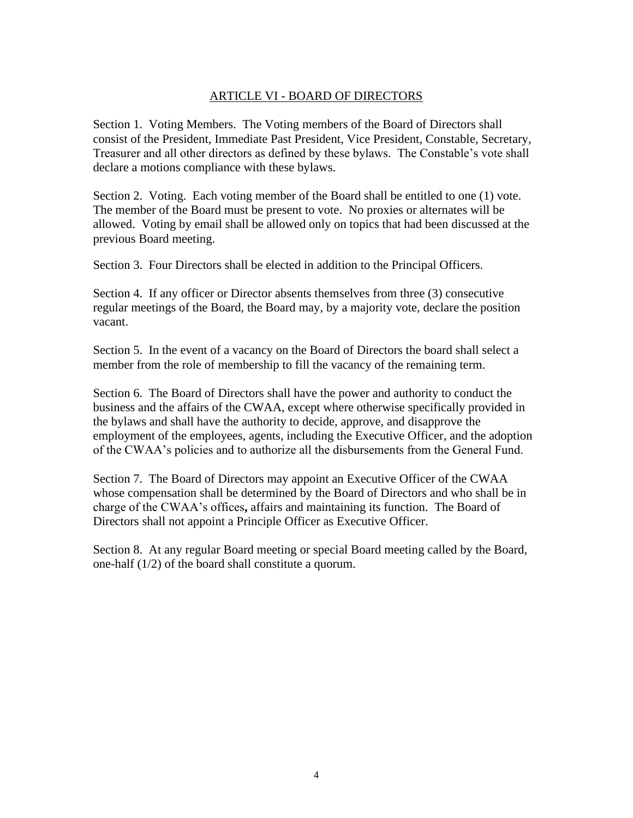## ARTICLE VI - BOARD OF DIRECTORS

Section 1. Voting Members. The Voting members of the Board of Directors shall consist of the President, Immediate Past President, Vice President, Constable, Secretary, Treasurer and all other directors as defined by these bylaws. The Constable's vote shall declare a motions compliance with these bylaws.

Section 2. Voting. Each voting member of the Board shall be entitled to one (1) vote. The member of the Board must be present to vote. No proxies or alternates will be allowed. Voting by email shall be allowed only on topics that had been discussed at the previous Board meeting.

Section 3. Four Directors shall be elected in addition to the Principal Officers.

Section 4. If any officer or Director absents themselves from three (3) consecutive regular meetings of the Board, the Board may, by a majority vote, declare the position vacant.

Section 5. In the event of a vacancy on the Board of Directors the board shall select a member from the role of membership to fill the vacancy of the remaining term.

Section 6. The Board of Directors shall have the power and authority to conduct the business and the affairs of the CWAA, except where otherwise specifically provided in the bylaws and shall have the authority to decide, approve, and disapprove the employment of the employees, agents, including the Executive Officer, and the adoption of the CWAA's policies and to authorize all the disbursements from the General Fund.

Section 7. The Board of Directors may appoint an Executive Officer of the CWAA whose compensation shall be determined by the Board of Directors and who shall be in charge of the CWAA's offices**,** affairs and maintaining its function. The Board of Directors shall not appoint a Principle Officer as Executive Officer.

Section 8. At any regular Board meeting or special Board meeting called by the Board, one-half (1/2) of the board shall constitute a quorum.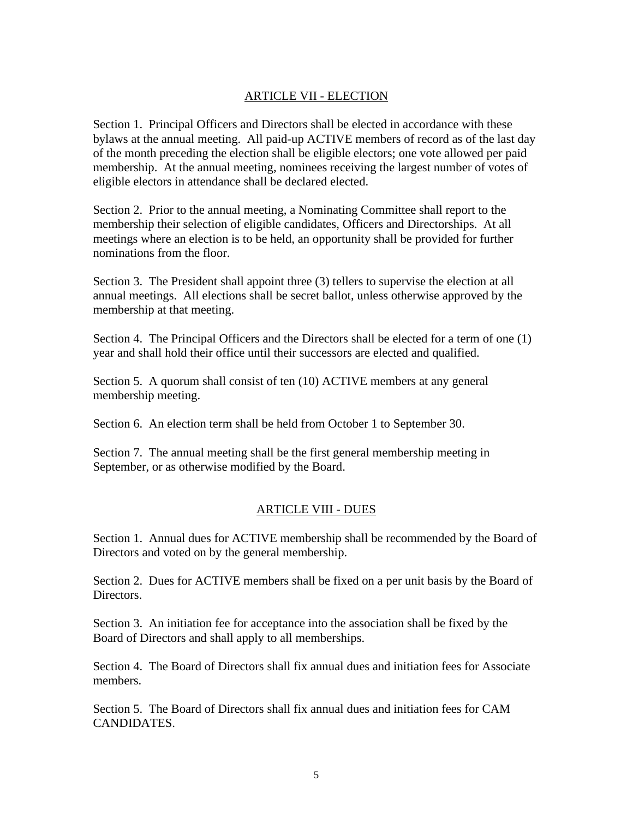## ARTICLE VII - ELECTION

Section 1. Principal Officers and Directors shall be elected in accordance with these bylaws at the annual meeting. All paid-up ACTIVE members of record as of the last day of the month preceding the election shall be eligible electors; one vote allowed per paid membership. At the annual meeting, nominees receiving the largest number of votes of eligible electors in attendance shall be declared elected.

Section 2. Prior to the annual meeting, a Nominating Committee shall report to the membership their selection of eligible candidates, Officers and Directorships. At all meetings where an election is to be held, an opportunity shall be provided for further nominations from the floor.

Section 3. The President shall appoint three (3) tellers to supervise the election at all annual meetings. All elections shall be secret ballot, unless otherwise approved by the membership at that meeting.

Section 4. The Principal Officers and the Directors shall be elected for a term of one (1) year and shall hold their office until their successors are elected and qualified.

Section 5. A quorum shall consist of ten (10) ACTIVE members at any general membership meeting.

Section 6. An election term shall be held from October 1 to September 30.

Section 7. The annual meeting shall be the first general membership meeting in September, or as otherwise modified by the Board.

#### ARTICLE VIII - DUES

Section 1. Annual dues for ACTIVE membership shall be recommended by the Board of Directors and voted on by the general membership.

Section 2. Dues for ACTIVE members shall be fixed on a per unit basis by the Board of Directors.

Section 3. An initiation fee for acceptance into the association shall be fixed by the Board of Directors and shall apply to all memberships.

Section 4. The Board of Directors shall fix annual dues and initiation fees for Associate members.

Section 5. The Board of Directors shall fix annual dues and initiation fees for CAM CANDIDATES.